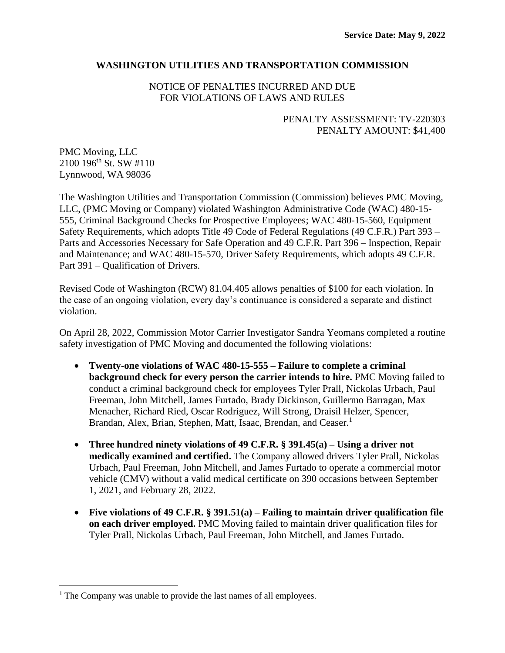# **WASHINGTON UTILITIES AND TRANSPORTATION COMMISSION**

NOTICE OF PENALTIES INCURRED AND DUE FOR VIOLATIONS OF LAWS AND RULES

# PENALTY ASSESSMENT: TV-220303 PENALTY AMOUNT: \$41,400

PMC Moving, LLC 2100 196th St. SW #110 Lynnwood, WA 98036

The Washington Utilities and Transportation Commission (Commission) believes PMC Moving, LLC, (PMC Moving or Company) violated Washington Administrative Code (WAC) 480-15- 555, Criminal Background Checks for Prospective Employees; WAC 480-15-560, Equipment Safety Requirements, which adopts Title 49 Code of Federal Regulations (49 C.F.R.) Part 393 – Parts and Accessories Necessary for Safe Operation and 49 C.F.R. Part 396 – Inspection, Repair and Maintenance; and WAC 480-15-570, Driver Safety Requirements, which adopts 49 C.F.R. Part 391 – Qualification of Drivers.

Revised Code of Washington (RCW) 81.04.405 allows penalties of \$100 for each violation. In the case of an ongoing violation, every day's continuance is considered a separate and distinct violation.

On April 28, 2022, Commission Motor Carrier Investigator Sandra Yeomans completed a routine safety investigation of PMC Moving and documented the following violations:

- **Twenty-one violations of WAC 480-15-555 – Failure to complete a criminal background check for every person the carrier intends to hire.** PMC Moving failed to conduct a criminal background check for employees Tyler Prall, Nickolas Urbach, Paul Freeman, John Mitchell, James Furtado, Brady Dickinson, Guillermo Barragan, Max Menacher, Richard Ried, Oscar Rodriguez, Will Strong, Draisil Helzer, Spencer, Brandan, Alex, Brian, Stephen, Matt, Isaac, Brendan, and Ceaser.<sup>1</sup>
- **Three hundred ninety violations of 49 C.F.R. § 391.45(a) – Using a driver not medically examined and certified.** The Company allowed drivers Tyler Prall, Nickolas Urbach, Paul Freeman, John Mitchell, and James Furtado to operate a commercial motor vehicle (CMV) without a valid medical certificate on 390 occasions between September 1, 2021, and February 28, 2022.
- **Five violations of 49 C.F.R. § 391.51(a) – Failing to maintain driver qualification file on each driver employed.** PMC Moving failed to maintain driver qualification files for Tyler Prall, Nickolas Urbach, Paul Freeman, John Mitchell, and James Furtado.

<sup>&</sup>lt;sup>1</sup> The Company was unable to provide the last names of all employees.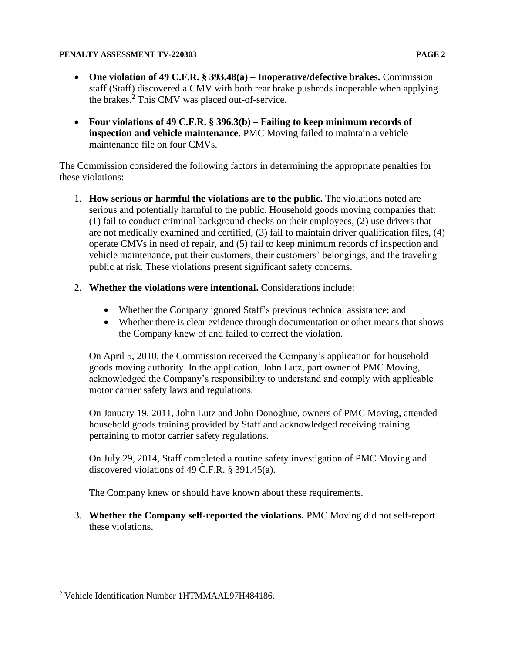- **One violation of 49 C.F.R. § 393.48(a) – Inoperative/defective brakes.** Commission staff (Staff) discovered a CMV with both rear brake pushrods inoperable when applying the brakes. <sup>2</sup> This CMV was placed out-of-service.
- **Four violations of 49 C.F.R. § 396.3(b) – Failing to keep minimum records of inspection and vehicle maintenance.** PMC Moving failed to maintain a vehicle maintenance file on four CMVs.

The Commission considered the following factors in determining the appropriate penalties for these violations:

- 1. **How serious or harmful the violations are to the public.** The violations noted are serious and potentially harmful to the public. Household goods moving companies that: (1) fail to conduct criminal background checks on their employees, (2) use drivers that are not medically examined and certified, (3) fail to maintain driver qualification files, (4) operate CMVs in need of repair, and (5) fail to keep minimum records of inspection and vehicle maintenance, put their customers, their customers' belongings, and the traveling public at risk. These violations present significant safety concerns.
- 2. **Whether the violations were intentional.** Considerations include:
	- Whether the Company ignored Staff's previous technical assistance; and
	- Whether there is clear evidence through documentation or other means that shows the Company knew of and failed to correct the violation.

On April 5, 2010, the Commission received the Company's application for household goods moving authority. In the application, John Lutz, part owner of PMC Moving, acknowledged the Company's responsibility to understand and comply with applicable motor carrier safety laws and regulations.

On January 19, 2011, John Lutz and John Donoghue, owners of PMC Moving, attended household goods training provided by Staff and acknowledged receiving training pertaining to motor carrier safety regulations.

On July 29, 2014, Staff completed a routine safety investigation of PMC Moving and discovered violations of 49 C.F.R. § 391.45(a).

The Company knew or should have known about these requirements.

3. **Whether the Company self-reported the violations.** PMC Moving did not self-report these violations.

<sup>2</sup> Vehicle Identification Number 1HTMMAAL97H484186.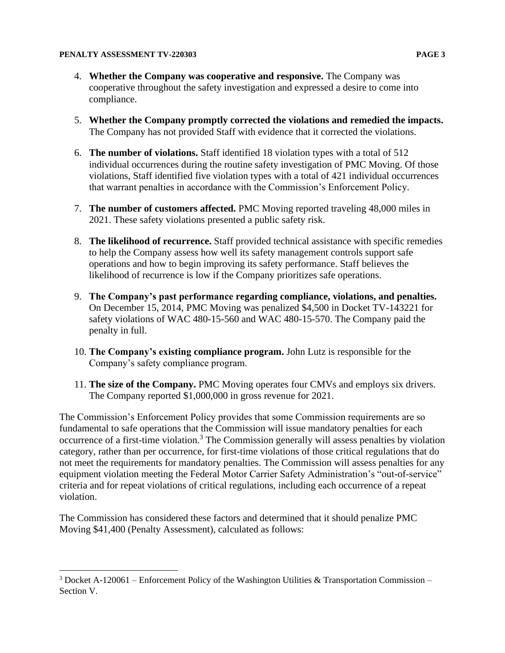- 4. **Whether the Company was cooperative and responsive.** The Company was cooperative throughout the safety investigation and expressed a desire to come into compliance.
- 5. **Whether the Company promptly corrected the violations and remedied the impacts.** The Company has not provided Staff with evidence that it corrected the violations.
- 6. **The number of violations.** Staff identified 18 violation types with a total of 512 individual occurrences during the routine safety investigation of PMC Moving. Of those violations, Staff identified five violation types with a total of 421 individual occurrences that warrant penalties in accordance with the Commission's Enforcement Policy.
- 7. **The number of customers affected.** PMC Moving reported traveling 48,000 miles in 2021. These safety violations presented a public safety risk.
- 8. **The likelihood of recurrence.** Staff provided technical assistance with specific remedies to help the Company assess how well its safety management controls support safe operations and how to begin improving its safety performance. Staff believes the likelihood of recurrence is low if the Company prioritizes safe operations.
- 9. **The Company's past performance regarding compliance, violations, and penalties.**  On December 15, 2014, PMC Moving was penalized \$4,500 in Docket TV-143221 for safety violations of WAC 480-15-560 and WAC 480-15-570. The Company paid the penalty in full.
- 10. **The Company's existing compliance program.** John Lutz is responsible for the Company's safety compliance program.
- 11. **The size of the Company.** PMC Moving operates four CMVs and employs six drivers. The Company reported \$1,000,000 in gross revenue for 2021.

The Commission's Enforcement Policy provides that some Commission requirements are so fundamental to safe operations that the Commission will issue mandatory penalties for each occurrence of a first-time violation.<sup>3</sup> The Commission generally will assess penalties by violation category, rather than per occurrence, for first-time violations of those critical regulations that do not meet the requirements for mandatory penalties. The Commission will assess penalties for any equipment violation meeting the Federal Motor Carrier Safety Administration's "out-of-service" criteria and for repeat violations of critical regulations, including each occurrence of a repeat violation.

The Commission has considered these factors and determined that it should penalize PMC Moving \$41,400 (Penalty Assessment), calculated as follows:

<sup>&</sup>lt;sup>3</sup> Docket A-120061 – Enforcement Policy of the Washington Utilities & Transportation Commission – Section V.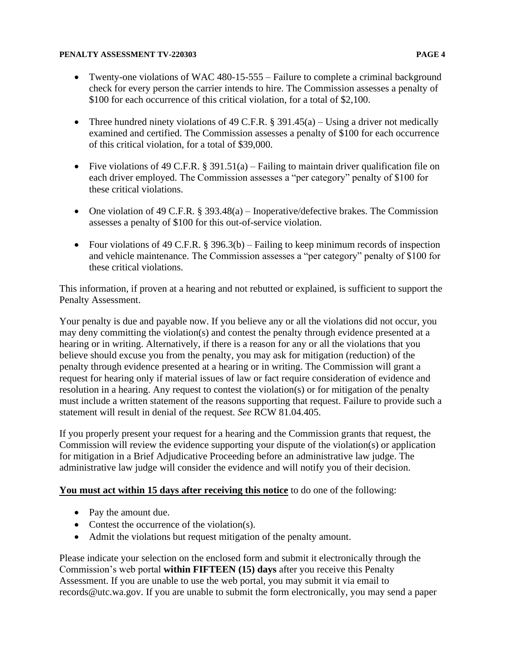- Twenty-one violations of WAC 480-15-555 Failure to complete a criminal background check for every person the carrier intends to hire. The Commission assesses a penalty of \$100 for each occurrence of this critical violation, for a total of \$2,100.
- Three hundred ninety violations of 49 C.F.R.  $\S 391.45(a)$  Using a driver not medically examined and certified. The Commission assesses a penalty of \$100 for each occurrence of this critical violation, for a total of \$39,000.
- Five violations of 49 C.F.R. § 391.51(a) Failing to maintain driver qualification file on each driver employed. The Commission assesses a "per category" penalty of \$100 for these critical violations.
- One violation of 49 C.F.R.  $\S 393.48(a)$  Inoperative/defective brakes. The Commission assesses a penalty of \$100 for this out-of-service violation.
- Four violations of 49 C.F.R.  $\S 396.3(b)$  Failing to keep minimum records of inspection and vehicle maintenance. The Commission assesses a "per category" penalty of \$100 for these critical violations.

This information, if proven at a hearing and not rebutted or explained, is sufficient to support the Penalty Assessment.

Your penalty is due and payable now. If you believe any or all the violations did not occur, you may deny committing the violation(s) and contest the penalty through evidence presented at a hearing or in writing. Alternatively, if there is a reason for any or all the violations that you believe should excuse you from the penalty, you may ask for mitigation (reduction) of the penalty through evidence presented at a hearing or in writing. The Commission will grant a request for hearing only if material issues of law or fact require consideration of evidence and resolution in a hearing. Any request to contest the violation(s) or for mitigation of the penalty must include a written statement of the reasons supporting that request. Failure to provide such a statement will result in denial of the request. *See* RCW 81.04.405.

If you properly present your request for a hearing and the Commission grants that request, the Commission will review the evidence supporting your dispute of the violation(s) or application for mitigation in a Brief Adjudicative Proceeding before an administrative law judge. The administrative law judge will consider the evidence and will notify you of their decision.

## **You must act within 15 days after receiving this notice** to do one of the following:

- Pay the amount due.
- Contest the occurrence of the violation(s).
- Admit the violations but request mitigation of the penalty amount.

Please indicate your selection on the enclosed form and submit it electronically through the Commission's web portal **within FIFTEEN (15) days** after you receive this Penalty Assessment. If you are unable to use the web portal, you may submit it via email to records@utc.wa.gov. If you are unable to submit the form electronically, you may send a paper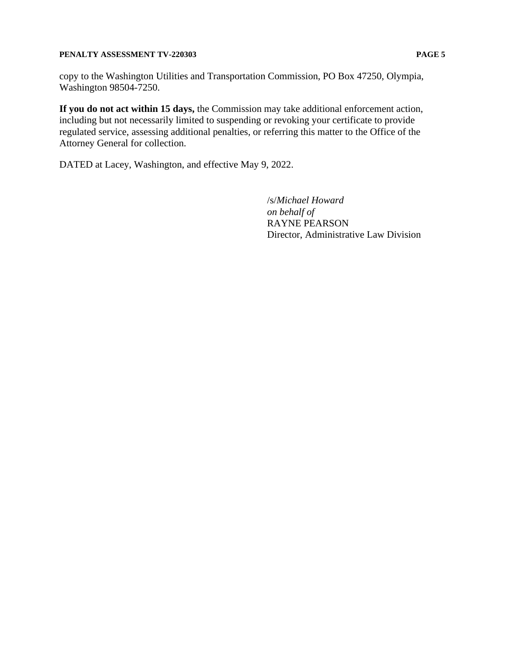**If you do not act within 15 days,** the Commission may take additional enforcement action, including but not necessarily limited to suspending or revoking your certificate to provide regulated service, assessing additional penalties, or referring this matter to the Office of the Attorney General for collection.

DATED at Lacey, Washington, and effective May 9, 2022.

/s/*Michael Howard on behalf of* RAYNE PEARSON Director, Administrative Law Division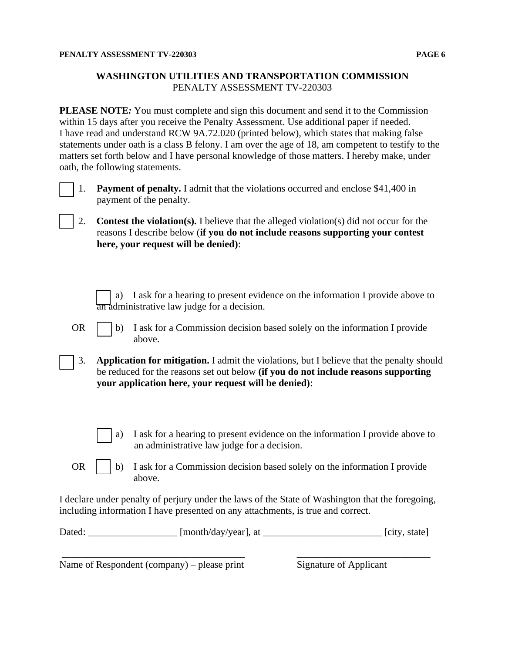## **WASHINGTON UTILITIES AND TRANSPORTATION COMMISSION** PENALTY ASSESSMENT TV-220303

**PLEASE NOTE***:* You must complete and sign this document and send it to the Commission within 15 days after you receive the Penalty Assessment. Use additional paper if needed. I have read and understand RCW 9A.72.020 (printed below), which states that making false statements under oath is a class B felony. I am over the age of 18, am competent to testify to the matters set forth below and I have personal knowledge of those matters. I hereby make, under oath, the following statements.



[ ] 1. **Payment of penalty.** I admit that the violations occurred and enclose \$41,400 in payment of the penalty.

- [ ] 2. **Contest the violation(s).** I believe that the alleged violation(s) did not occur for the reasons I describe below (**if you do not include reasons supporting your contest here, your request will be denied)**:
	- a) I ask for a hearing to present evidence on the information I provide above to an administrative law judge for a decision.
- OR  $\Box$  b) I ask for a Commission decision based solely on the information I provide above.
- [ ] 3. **Application for mitigation.** I admit the violations, but I believe that the penalty should be reduced for the reasons set out below **(if you do not include reasons supporting your application here, your request will be denied)**:
	- a) I ask for a hearing to present evidence on the information I provide above to an administrative law judge for a decision.
- OR  $\parallel$  b) I ask for a Commission decision based solely on the information I provide above.

I declare under penalty of perjury under the laws of the State of Washington that the foregoing, including information I have presented on any attachments, is true and correct.

| Dated: | [month/day/year], at |  | [city, state] |
|--------|----------------------|--|---------------|
|--------|----------------------|--|---------------|

\_\_\_\_\_\_\_\_\_\_\_\_\_\_\_\_\_\_\_\_\_\_\_\_\_\_\_\_\_\_\_\_\_\_\_\_\_ \_\_\_\_\_\_\_\_\_\_\_\_\_\_\_\_\_\_\_\_\_\_\_\_\_\_\_

Name of Respondent (company) – please print Signature of Applicant